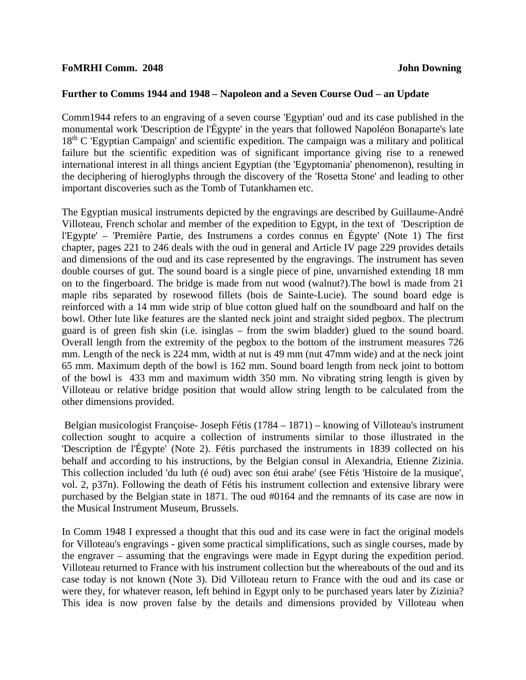## **FoMRHI Comm. 2048 John Downing**

## **Further to Comms 1944 and 1948 – Napoleon and a Seven Course Oud – an Update**

Comm1944 refers to an engraving of a seven course 'Egyptian' oud and its case published in the monumental work 'Description de l'Égypte' in the years that followed Napoléon Bonaparte's late  $18<sup>th</sup>$  C 'Egyptian Campaign' and scientific expedition. The campaign was a military and political failure but the scientific expedition was of significant importance giving rise to a renewed international interest in all things ancient Egyptian (the 'Egyptomania' phenomenon), resulting in the deciphering of hieroglyphs through the discovery of the 'Rosetta Stone' and leading to other important discoveries such as the Tomb of Tutankhamen etc.

The Egyptian musical instruments depicted by the engravings are described by Guillaume-André Villoteau, French scholar and member of the expedition to Egypt, in the text of 'Description de l'Egypte' – 'Première Partie, des Instrumens a cordes connus en Égypte' (Note 1) The first chapter, pages 221 to 246 deals with the oud in general and Article IV page 229 provides details and dimensions of the oud and its case represented by the engravings. The instrument has seven double courses of gut. The sound board is a single piece of pine, unvarnished extending 18 mm on to the fingerboard. The bridge is made from nut wood (walnut?).The bowl is made from 21 maple ribs separated by rosewood fillets (bois de Sainte-Lucie). The sound board edge is reinforced with a 14 mm wide strip of blue cotton glued half on the soundboard and half on the bowl. Other lute like features are the slanted neck joint and straight sided pegbox. The plectrum guard is of green fish skin (i.e. isinglas – from the swim bladder) glued to the sound board. Overall length from the extremity of the pegbox to the bottom of the instrument measures 726 mm. Length of the neck is 224 mm, width at nut is 49 mm (nut 47mm wide) and at the neck joint 65 mm. Maximum depth of the bowl is 162 mm. Sound board length from neck joint to bottom of the bowl is 433 mm and maximum width 350 mm. No vibrating string length is given by Villoteau or relative bridge position that would allow string length to be calculated from the other dimensions provided.

Belgian musicologist Françoise- Joseph Fétis (1784 – 1871) – knowing of Villoteau's instrument collection sought to acquire a collection of instruments similar to those illustrated in the 'Description de l'Égypte' (Note 2). Fétis purchased the instruments in 1839 collected on his behalf and according to his instructions, by the Belgian consul in Alexandria, Etienne Zizinia. This collection included 'du luth (é oud) avec son étui arabe' (see Fétis 'Histoire de la musique', vol. 2, p37n). Following the death of Fétis his instrument collection and extensive library were purchased by the Belgian state in 1871. The oud #0164 and the remnants of its case are now in the Musical Instrument Museum, Brussels.

In Comm 1948 I expressed a thought that this oud and its case were in fact the original models for Villoteau's engravings - given some practical simplifications, such as single courses, made by the engraver – assuming that the engravings were made in Egypt during the expedition period. Villoteau returned to France with his instrument collection but the whereabouts of the oud and its case today is not known (Note 3). Did Villoteau return to France with the oud and its case or were they, for whatever reason, left behind in Egypt only to be purchased years later by Zizinia? This idea is now proven false by the details and dimensions provided by Villoteau when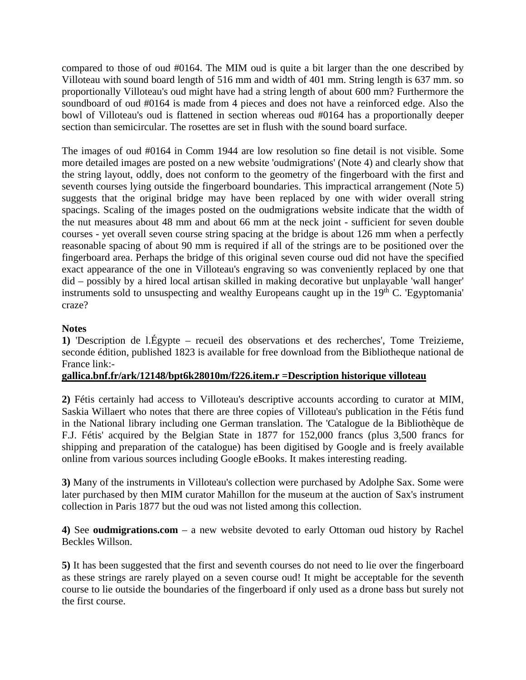compared to those of oud #0164. The MIM oud is quite a bit larger than the one described by Villoteau with sound board length of 516 mm and width of 401 mm. String length is 637 mm. so proportionally Villoteau's oud might have had a string length of about 600 mm? Furthermore the soundboard of oud #0164 is made from 4 pieces and does not have a reinforced edge. Also the bowl of Villoteau's oud is flattened in section whereas oud #0164 has a proportionally deeper section than semicircular. The rosettes are set in flush with the sound board surface.

The images of oud #0164 in Comm 1944 are low resolution so fine detail is not visible. Some more detailed images are posted on a new website 'oudmigrations' (Note 4) and clearly show that the string layout, oddly, does not conform to the geometry of the fingerboard with the first and seventh courses lying outside the fingerboard boundaries. This impractical arrangement (Note 5) suggests that the original bridge may have been replaced by one with wider overall string spacings. Scaling of the images posted on the oudmigrations website indicate that the width of the nut measures about 48 mm and about 66 mm at the neck joint - sufficient for seven double courses - yet overall seven course string spacing at the bridge is about 126 mm when a perfectly reasonable spacing of about 90 mm is required if all of the strings are to be positioned over the fingerboard area. Perhaps the bridge of this original seven course oud did not have the specified exact appearance of the one in Villoteau's engraving so was conveniently replaced by one that did – possibly by a hired local artisan skilled in making decorative but unplayable 'wall hanger' instruments sold to unsuspecting and wealthy Europeans caught up in the  $19<sup>th</sup>$  C. 'Egyptomania' craze?

## **Notes**

**1)** 'Description de l.Égypte – recueil des observations et des recherches', Tome Treizieme, seconde édition, published 1823 is available for free download from the Bibliotheque national de France link:-

## **gallica.bnf.fr/ark/12148/bpt6k28010m/f226.item.r =Description historique villoteau**

**2)** Fétis certainly had access to Villoteau's descriptive accounts according to curator at MIM, Saskia Willaert who notes that there are three copies of Villoteau's publication in the Fétis fund in the National library including one German translation. The 'Catalogue de la Bibliothèque de F.J. Fétis' acquired by the Belgian State in 1877 for 152,000 francs (plus 3,500 francs for shipping and preparation of the catalogue) has been digitised by Google and is freely available online from various sources including Google eBooks. It makes interesting reading.

**3)** Many of the instruments in Villoteau's collection were purchased by Adolphe Sax. Some were later purchased by then MIM curator Mahillon for the museum at the auction of Sax's instrument collection in Paris 1877 but the oud was not listed among this collection.

**4)** See **oudmigrations.com** – a new website devoted to early Ottoman oud history by Rachel Beckles Willson.

**5)** It has been suggested that the first and seventh courses do not need to lie over the fingerboard as these strings are rarely played on a seven course oud! It might be acceptable for the seventh course to lie outside the boundaries of the fingerboard if only used as a drone bass but surely not the first course.